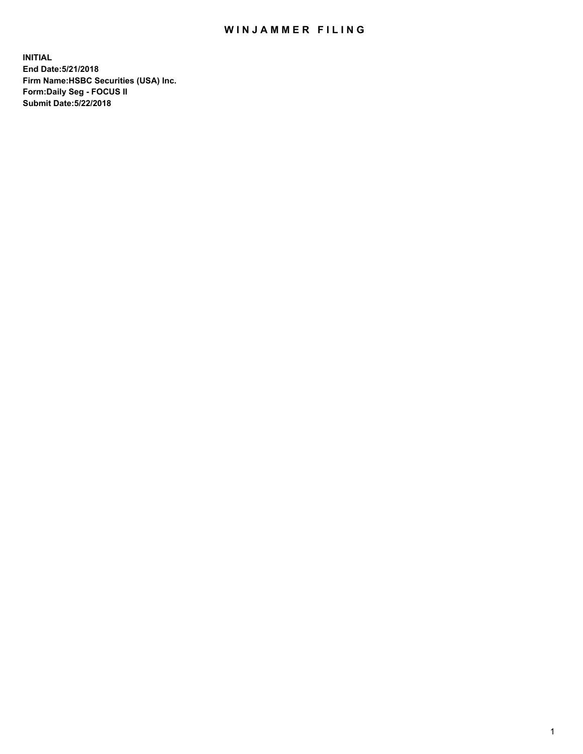## WIN JAMMER FILING

**INITIAL End Date:5/21/2018 Firm Name:HSBC Securities (USA) Inc. Form:Daily Seg - FOCUS II Submit Date:5/22/2018**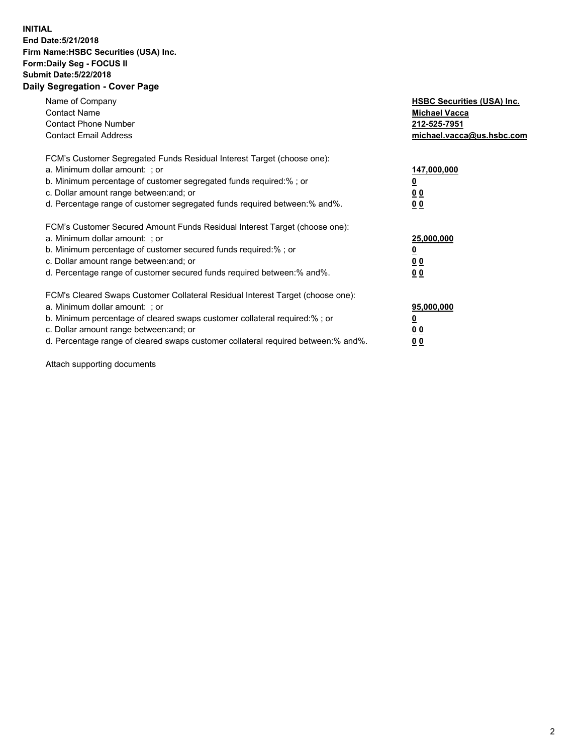## **INITIAL End Date:5/21/2018 Firm Name:HSBC Securities (USA) Inc. Form:Daily Seg - FOCUS II Submit Date:5/22/2018 Daily Segregation - Cover Page**

| Name of Company<br><b>Contact Name</b><br><b>Contact Phone Number</b><br><b>Contact Email Address</b>                                                                                                                                                                                                                         | <b>HSBC Securities (USA) Inc.</b><br><b>Michael Vacca</b><br>212-525-7951<br>michael.vacca@us.hsbc.com |
|-------------------------------------------------------------------------------------------------------------------------------------------------------------------------------------------------------------------------------------------------------------------------------------------------------------------------------|--------------------------------------------------------------------------------------------------------|
| FCM's Customer Segregated Funds Residual Interest Target (choose one):<br>a. Minimum dollar amount: ; or<br>b. Minimum percentage of customer segregated funds required:% ; or<br>c. Dollar amount range between: and; or<br>d. Percentage range of customer segregated funds required between: % and %.                      | 147,000,000<br><u>0</u><br><u>00</u><br>0 <sub>0</sub>                                                 |
| FCM's Customer Secured Amount Funds Residual Interest Target (choose one):<br>a. Minimum dollar amount: ; or<br>b. Minimum percentage of customer secured funds required:%; or<br>c. Dollar amount range between: and; or<br>d. Percentage range of customer secured funds required between: % and %.                         | 25,000,000<br><u>0</u><br><u>00</u><br>00                                                              |
| FCM's Cleared Swaps Customer Collateral Residual Interest Target (choose one):<br>a. Minimum dollar amount: ; or<br>b. Minimum percentage of cleared swaps customer collateral required:%; or<br>c. Dollar amount range between: and; or<br>d. Percentage range of cleared swaps customer collateral required between:% and%. | 95,000,000<br><u>0</u><br>0 <sub>0</sub><br>0 <sub>0</sub>                                             |

Attach supporting documents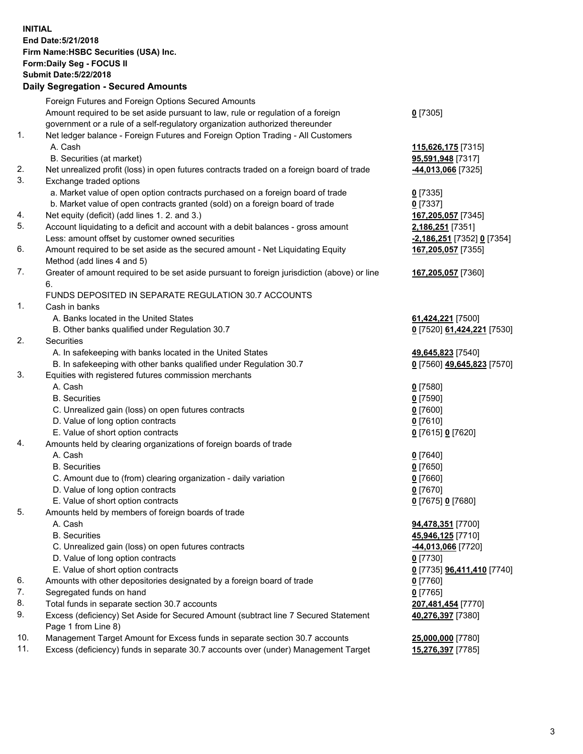**INITIAL End Date:5/21/2018 Firm Name:HSBC Securities (USA) Inc. Form:Daily Seg - FOCUS II Submit Date:5/22/2018 Daily Segregation - Secured Amounts**

Foreign Futures and Foreign Options Secured Amounts Amount required to be set aside pursuant to law, rule or regulation of a foreign government or a rule of a self-regulatory organization authorized thereunder **0** [7305] 1. Net ledger balance - Foreign Futures and Foreign Option Trading - All Customers A. Cash **115,626,175** [7315] B. Securities (at market) **95,591,948** [7317] 2. Net unrealized profit (loss) in open futures contracts traded on a foreign board of trade **-44,013,066** [7325] 3. Exchange traded options a. Market value of open option contracts purchased on a foreign board of trade **0** [7335] b. Market value of open contracts granted (sold) on a foreign board of trade **0** [7337] 4. Net equity (deficit) (add lines 1. 2. and 3.) **167,205,057** [7345] 5. Account liquidating to a deficit and account with a debit balances - gross amount **2,186,251** [7351] Less: amount offset by customer owned securities **-2,186,251** [7352] **0** [7354] 6. Amount required to be set aside as the secured amount - Net Liquidating Equity Method (add lines 4 and 5) **167,205,057** [7355] 7. Greater of amount required to be set aside pursuant to foreign jurisdiction (above) or line 6. **167,205,057** [7360] FUNDS DEPOSITED IN SEPARATE REGULATION 30.7 ACCOUNTS 1. Cash in banks A. Banks located in the United States **61,424,221** [7500] B. Other banks qualified under Regulation 30.7 **0** [7520] **61,424,221** [7530] 2. Securities A. In safekeeping with banks located in the United States **49,645,823** [7540] B. In safekeeping with other banks qualified under Regulation 30.7 **0** [7560] **49,645,823** [7570] 3. Equities with registered futures commission merchants A. Cash **0** [7580] B. Securities **0** [7590] C. Unrealized gain (loss) on open futures contracts **0** [7600] D. Value of long option contracts **0** [7610] E. Value of short option contracts **0** [7615] **0** [7620] 4. Amounts held by clearing organizations of foreign boards of trade A. Cash **0** [7640] B. Securities **0** [7650] C. Amount due to (from) clearing organization - daily variation **0** [7660] D. Value of long option contracts **0** [7670] E. Value of short option contracts **0** [7675] **0** [7680] 5. Amounts held by members of foreign boards of trade A. Cash **94,478,351** [7700] B. Securities **45,946,125** [7710] C. Unrealized gain (loss) on open futures contracts **-44,013,066** [7720] D. Value of long option contracts **0** [7730] E. Value of short option contracts **0** [7735] **96,411,410** [7740] 6. Amounts with other depositories designated by a foreign board of trade **0** [7760] 7. Segregated funds on hand **0** [7765] 8. Total funds in separate section 30.7 accounts **207,481,454** [7770] 9. Excess (deficiency) Set Aside for Secured Amount (subtract line 7 Secured Statement Page 1 from Line 8) **40,276,397** [7380] 10. Management Target Amount for Excess funds in separate section 30.7 accounts **25,000,000** [7780] 11. Excess (deficiency) funds in separate 30.7 accounts over (under) Management Target **15,276,397** [7785]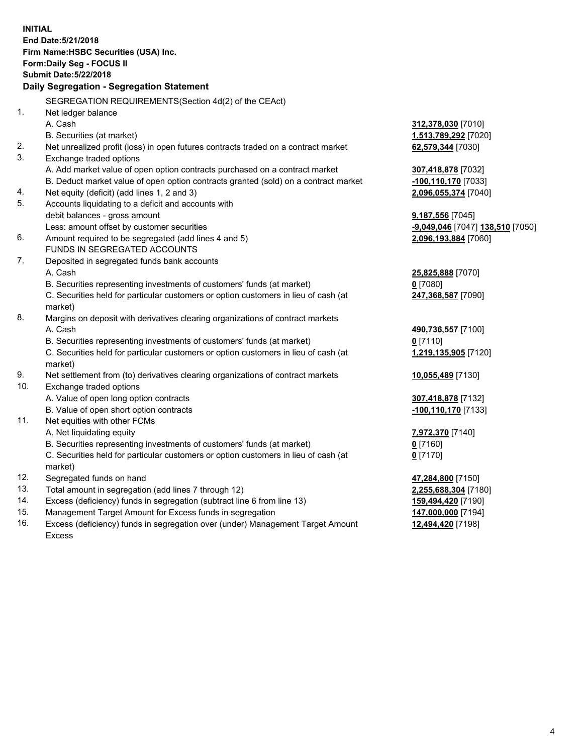**INITIAL End Date:5/21/2018 Firm Name:HSBC Securities (USA) Inc. Form:Daily Seg - FOCUS II Submit Date:5/22/2018 Daily Segregation - Segregation Statement** SEGREGATION REQUIREMENTS(Section 4d(2) of the CEAct) 1. Net ledger balance A. Cash **312,378,030** [7010] B. Securities (at market) **1,513,789,292** [7020] 2. Net unrealized profit (loss) in open futures contracts traded on a contract market **62,579,344** [7030] 3. Exchange traded options A. Add market value of open option contracts purchased on a contract market **307,418,878** [7032] B. Deduct market value of open option contracts granted (sold) on a contract market **-100,110,170** [7033] 4. Net equity (deficit) (add lines 1, 2 and 3) **2,096,055,374** [7040] 5. Accounts liquidating to a deficit and accounts with debit balances - gross amount **9,187,556** [7045] Less: amount offset by customer securities **-9,049,046** [7047] **138,510** [7050] 6. Amount required to be segregated (add lines 4 and 5) **2,096,193,884** [7060] FUNDS IN SEGREGATED ACCOUNTS 7. Deposited in segregated funds bank accounts A. Cash **25,825,888** [7070] B. Securities representing investments of customers' funds (at market) **0** [7080] C. Securities held for particular customers or option customers in lieu of cash (at market) **247,368,587** [7090] 8. Margins on deposit with derivatives clearing organizations of contract markets A. Cash **490,736,557** [7100] B. Securities representing investments of customers' funds (at market) **0** [7110] C. Securities held for particular customers or option customers in lieu of cash (at market) **1,219,135,905** [7120] 9. Net settlement from (to) derivatives clearing organizations of contract markets **10,055,489** [7130] 10. Exchange traded options A. Value of open long option contracts **307,418,878** [7132] B. Value of open short option contracts **-100,110,170** [7133] 11. Net equities with other FCMs A. Net liquidating equity **7,972,370** [7140] B. Securities representing investments of customers' funds (at market) **0** [7160] C. Securities held for particular customers or option customers in lieu of cash (at market) **0** [7170] 12. Segregated funds on hand **47,284,800** [7150] 13. Total amount in segregation (add lines 7 through 12) **2,255,688,304** [7180] 14. Excess (deficiency) funds in segregation (subtract line 6 from line 13) **159,494,420** [7190] 15. Management Target Amount for Excess funds in segregation **147,000,000** [7194]

16. Excess (deficiency) funds in segregation over (under) Management Target Amount Excess

**12,494,420** [7198]